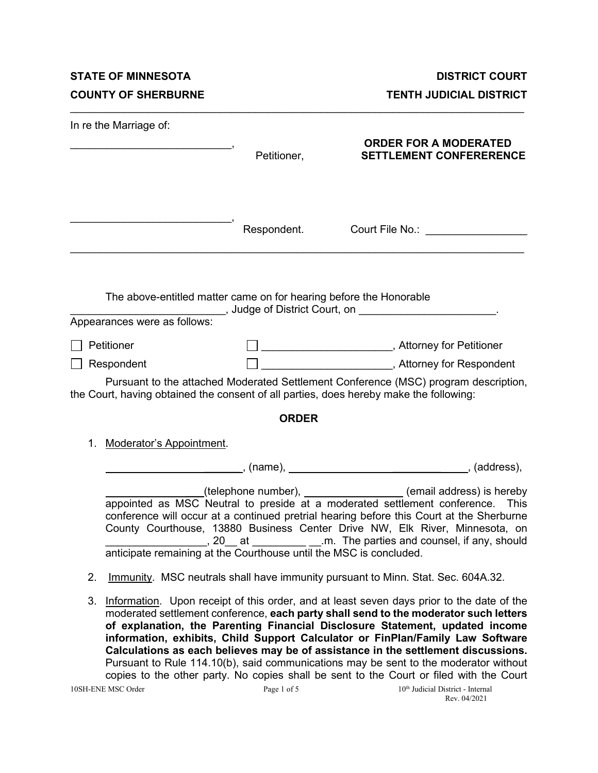**STATE OF MINNESOTA DISTRICT COURT** 

**COUNTY OF SHERBURNE COUNTY OF SHERBURNE** 

| In re the Marriage of:                                                                             | Petitioner,  | <b>ORDER FOR A MODERATED</b><br><b>SETTLEMENT CONFERERENCE</b>                                                                                                                                                                                                                                                                                                                                                                           |
|----------------------------------------------------------------------------------------------------|--------------|------------------------------------------------------------------------------------------------------------------------------------------------------------------------------------------------------------------------------------------------------------------------------------------------------------------------------------------------------------------------------------------------------------------------------------------|
|                                                                                                    |              | Respondent. Court File No.: Court - Court - Court - Court - Court - Court - Court - Court - Court - Court - Court - Court - Court - Court - Court - Court - Court - Court - Court - Court - Court - Court - Court - Court - Co                                                                                                                                                                                                           |
| The above-entitled matter came on for hearing before the Honorable<br>Appearances were as follows: |              | __________________________, Judge of District Court, on ________________________                                                                                                                                                                                                                                                                                                                                                         |
| Petitioner                                                                                         |              | □ _________________________, Attorney for Petitioner                                                                                                                                                                                                                                                                                                                                                                                     |
| Respondent                                                                                         |              |                                                                                                                                                                                                                                                                                                                                                                                                                                          |
|                                                                                                    |              | Pursuant to the attached Moderated Settlement Conference (MSC) program description,<br>the Court, having obtained the consent of all parties, does hereby make the following:                                                                                                                                                                                                                                                            |
|                                                                                                    | <b>ORDER</b> |                                                                                                                                                                                                                                                                                                                                                                                                                                          |
| <b>Moderator's Appointment.</b><br>1.                                                              |              |                                                                                                                                                                                                                                                                                                                                                                                                                                          |
|                                                                                                    |              |                                                                                                                                                                                                                                                                                                                                                                                                                                          |
|                                                                                                    |              | (telephone number), _______________(email address) is hereby<br>appointed as MSC Neutral to preside at a moderated settlement conference. This<br>conference will occur at a continued pretrial hearing before this Court at the Sherburne<br>County Courthouse, 13880 Business Center Drive NW, Elk River, Minnesota, on                                                                                                                |
| 2.                                                                                                 |              | Immunity. MSC neutrals shall have immunity pursuant to Minn. Stat. Sec. 604A.32.                                                                                                                                                                                                                                                                                                                                                         |
| 3.                                                                                                 |              | Information. Upon receipt of this order, and at least seven days prior to the date of the<br>moderated settlement conference, each party shall send to the moderator such letters<br>of explanation, the Parenting Financial Disclosure Statement, updated income<br>information, exhibits, Child Support Calculator or FinPlan/Family Law Software<br>Calculations as each believes may be of assistance in the settlement discussions. |

\_\_\_\_\_\_\_\_\_\_\_\_\_\_\_\_\_\_\_\_\_\_\_\_\_\_\_\_\_\_\_\_\_\_\_\_\_\_\_\_\_\_\_\_\_\_\_\_\_\_\_\_\_\_\_\_\_\_\_\_\_\_\_\_\_\_\_\_\_\_\_\_\_\_\_\_

Pursuant to Rule 114.10(b), said communications may be sent to the moderator without copies to the other party. No copies shall be sent to the Court or filed with the Court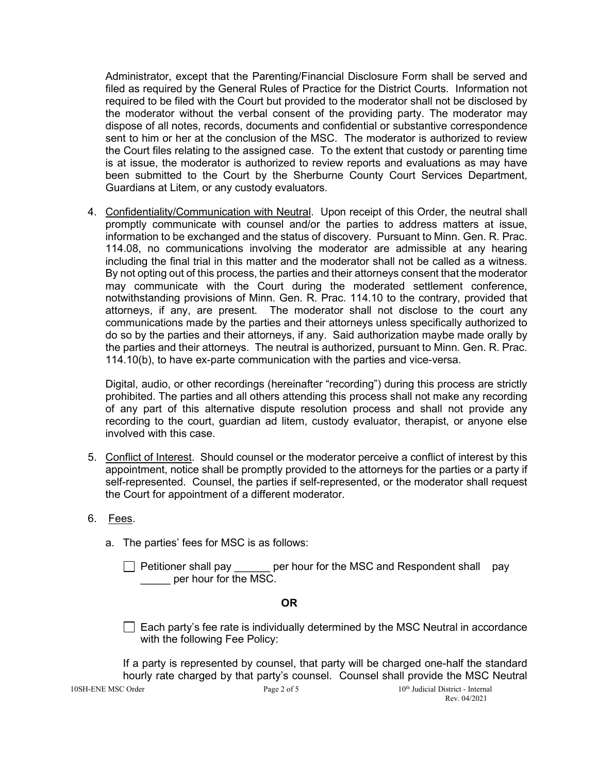Administrator, except that the Parenting/Financial Disclosure Form shall be served and filed as required by the General Rules of Practice for the District Courts. Information not required to be filed with the Court but provided to the moderator shall not be disclosed by the moderator without the verbal consent of the providing party. The moderator may dispose of all notes, records, documents and confidential or substantive correspondence sent to him or her at the conclusion of the MSC. The moderator is authorized to review the Court files relating to the assigned case. To the extent that custody or parenting time is at issue, the moderator is authorized to review reports and evaluations as may have been submitted to the Court by the Sherburne County Court Services Department, Guardians at Litem, or any custody evaluators.

4. Confidentiality/Communication with Neutral. Upon receipt of this Order, the neutral shall promptly communicate with counsel and/or the parties to address matters at issue, information to be exchanged and the status of discovery. Pursuant to Minn. Gen. R. Prac. 114.08, no communications involving the moderator are admissible at any hearing including the final trial in this matter and the moderator shall not be called as a witness. By not opting out of this process, the parties and their attorneys consent that the moderator may communicate with the Court during the moderated settlement conference, notwithstanding provisions of Minn. Gen. R. Prac. 114.10 to the contrary, provided that attorneys, if any, are present. The moderator shall not disclose to the court any communications made by the parties and their attorneys unless specifically authorized to do so by the parties and their attorneys, if any. Said authorization maybe made orally by the parties and their attorneys. The neutral is authorized, pursuant to Minn. Gen. R. Prac. 114.10(b), to have ex-parte communication with the parties and vice-versa.

Digital, audio, or other recordings (hereinafter "recording") during this process are strictly prohibited. The parties and all others attending this process shall not make any recording of any part of this alternative dispute resolution process and shall not provide any recording to the court, guardian ad litem, custody evaluator, therapist, or anyone else involved with this case.

- 5. Conflict of Interest. Should counsel or the moderator perceive a conflict of interest by this appointment, notice shall be promptly provided to the attorneys for the parties or a party if self-represented. Counsel, the parties if self-represented, or the moderator shall request the Court for appointment of a different moderator.
- 6. Fees.
	- a. The parties' fees for MSC is as follows:
		- □ Petitioner shall pay \_\_\_\_\_\_ per hour for the MSC and Respondent shall pay per hour for the MSC.

#### **OR**

 $\Box$  Each party's fee rate is individually determined by the MSC Neutral in accordance with the following Fee Policy:

10SH-ENE MSC Order **Page 2 of 5** 10<sup>th</sup> Judicial District - Internal If a party is represented by counsel, that party will be charged one-half the standard hourly rate charged by that party's counsel. Counsel shall provide the MSC Neutral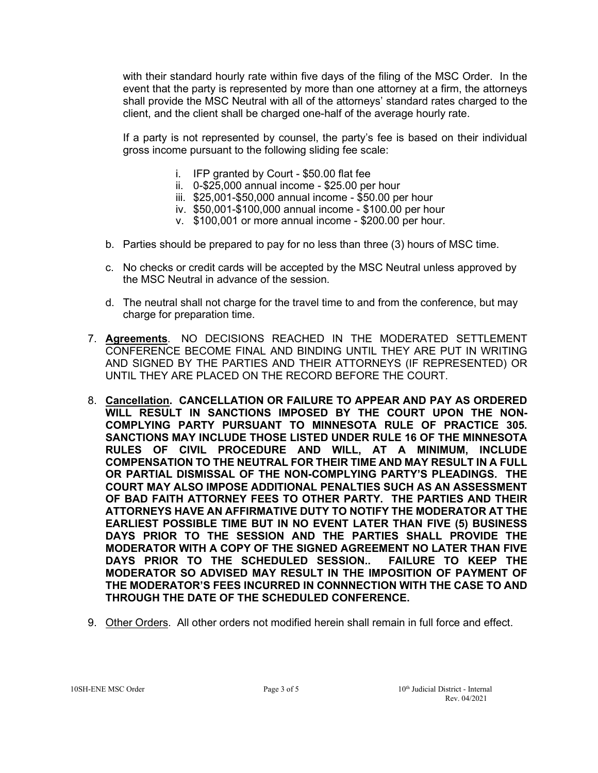with their standard hourly rate within five days of the filing of the MSC Order. In the event that the party is represented by more than one attorney at a firm, the attorneys shall provide the MSC Neutral with all of the attorneys' standard rates charged to the client, and the client shall be charged one-half of the average hourly rate.

If a party is not represented by counsel, the party's fee is based on their individual gross income pursuant to the following sliding fee scale:

- i. IFP granted by Court \$50.00 flat fee
- ii. 0-\$25,000 annual income \$25.00 per hour
- iii. \$25,001-\$50,000 annual income \$50.00 per hour
- iv. \$50,001-\$100,000 annual income \$100.00 per hour
- v. \$100,001 or more annual income \$200.00 per hour.
- b. Parties should be prepared to pay for no less than three (3) hours of MSC time.
- c. No checks or credit cards will be accepted by the MSC Neutral unless approved by the MSC Neutral in advance of the session.
- d. The neutral shall not charge for the travel time to and from the conference, but may charge for preparation time.
- 7. **Agreements**. NO DECISIONS REACHED IN THE MODERATED SETTLEMENT CONFERENCE BECOME FINAL AND BINDING UNTIL THEY ARE PUT IN WRITING AND SIGNED BY THE PARTIES AND THEIR ATTORNEYS (IF REPRESENTED) OR UNTIL THEY ARE PLACED ON THE RECORD BEFORE THE COURT.
- 8. **Cancellation. CANCELLATION OR FAILURE TO APPEAR AND PAY AS ORDERED WILL RESULT IN SANCTIONS IMPOSED BY THE COURT UPON THE NON-COMPLYING PARTY PURSUANT TO MINNESOTA RULE OF PRACTICE 305. SANCTIONS MAY INCLUDE THOSE LISTED UNDER RULE 16 OF THE MINNESOTA RULES OF CIVIL PROCEDURE AND WILL, AT A MINIMUM, INCLUDE COMPENSATION TO THE NEUTRAL FOR THEIR TIME AND MAY RESULT IN A FULL OR PARTIAL DISMISSAL OF THE NON-COMPLYING PARTY'S PLEADINGS. THE COURT MAY ALSO IMPOSE ADDITIONAL PENALTIES SUCH AS AN ASSESSMENT OF BAD FAITH ATTORNEY FEES TO OTHER PARTY. THE PARTIES AND THEIR ATTORNEYS HAVE AN AFFIRMATIVE DUTY TO NOTIFY THE MODERATOR AT THE EARLIEST POSSIBLE TIME BUT IN NO EVENT LATER THAN FIVE (5) BUSINESS DAYS PRIOR TO THE SESSION AND THE PARTIES SHALL PROVIDE THE MODERATOR WITH A COPY OF THE SIGNED AGREEMENT NO LATER THAN FIVE**  DAYS PRIOR TO THE SCHEDULED SESSION.. **MODERATOR SO ADVISED MAY RESULT IN THE IMPOSITION OF PAYMENT OF THE MODERATOR'S FEES INCURRED IN CONNNECTION WITH THE CASE TO AND THROUGH THE DATE OF THE SCHEDULED CONFERENCE.**
- 9. Other Orders. All other orders not modified herein shall remain in full force and effect.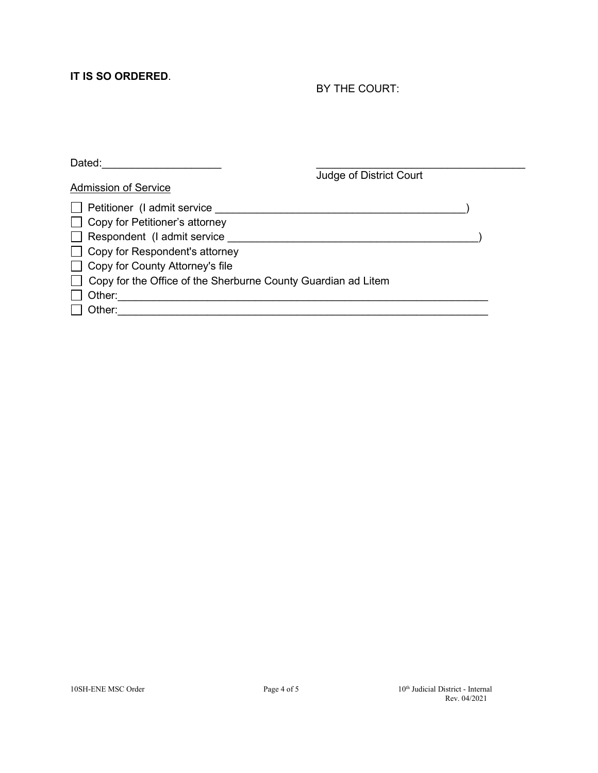## **IT IS SO ORDERED**.

### BY THE COURT:

| Dated:                                                               |  |  |
|----------------------------------------------------------------------|--|--|
| Judge of District Court                                              |  |  |
| <b>Admission of Service</b>                                          |  |  |
| $\Box$ Petitioner (I admit service                                   |  |  |
| □ Copy for Petitioner's attorney                                     |  |  |
| $\Box$ Respondent (I admit service                                   |  |  |
| $\Box$ Copy for Respondent's attorney                                |  |  |
| □ Copy for County Attorney's file                                    |  |  |
| $\Box$ Copy for the Office of the Sherburne County Guardian ad Litem |  |  |
| Other:                                                               |  |  |
| Other:                                                               |  |  |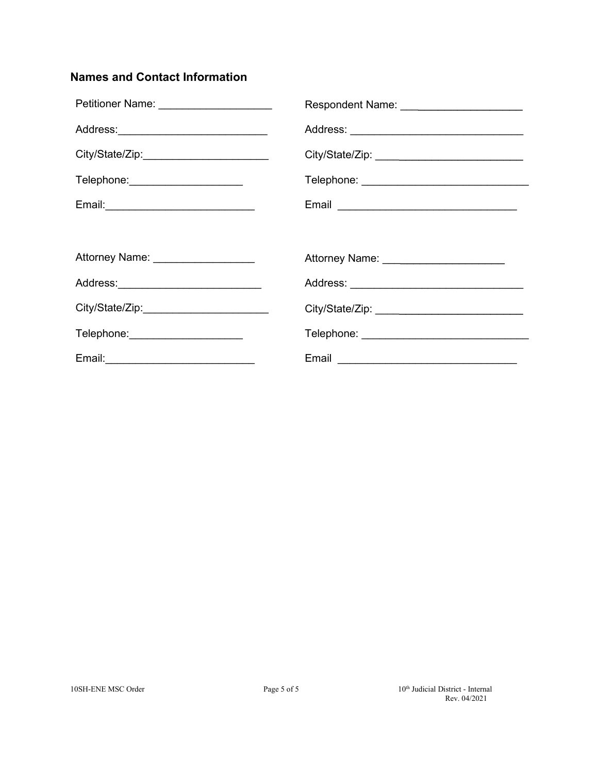## **Names and Contact Information**

| Petitioner Name: _____________________     | Respondent Name: ________________________    |
|--------------------------------------------|----------------------------------------------|
| Address:_____________________________      |                                              |
|                                            |                                              |
| Telephone: _____________________           |                                              |
| Email: ___________________________________ |                                              |
|                                            |                                              |
| Attorney Name: ___________________         | Attorney Name: _______________________       |
| Address:_____________________________      |                                              |
|                                            |                                              |
| Telephone: ______________________          | Telephone: _________________________________ |
|                                            | Email <b>Email Example 20</b>                |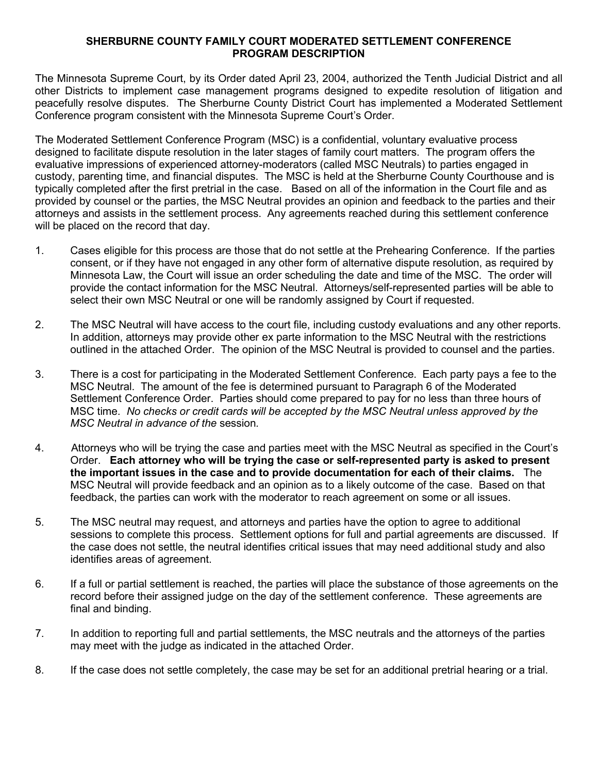#### **SHERBURNE COUNTY FAMILY COURT MODERATED SETTLEMENT CONFERENCE PROGRAM DESCRIPTION**

The Minnesota Supreme Court, by its Order dated April 23, 2004, authorized the Tenth Judicial District and all other Districts to implement case management programs designed to expedite resolution of litigation and peacefully resolve disputes. The Sherburne County District Court has implemented a Moderated Settlement Conference program consistent with the Minnesota Supreme Court's Order.

The Moderated Settlement Conference Program (MSC) is a confidential, voluntary evaluative process designed to facilitate dispute resolution in the later stages of family court matters. The program offers the evaluative impressions of experienced attorney-moderators (called MSC Neutrals) to parties engaged in custody, parenting time, and financial disputes. The MSC is held at the Sherburne County Courthouse and is typically completed after the first pretrial in the case. Based on all of the information in the Court file and as provided by counsel or the parties, the MSC Neutral provides an opinion and feedback to the parties and their attorneys and assists in the settlement process. Any agreements reached during this settlement conference will be placed on the record that day.

- 1. Cases eligible for this process are those that do not settle at the Prehearing Conference. If the parties consent, or if they have not engaged in any other form of alternative dispute resolution, as required by Minnesota Law, the Court will issue an order scheduling the date and time of the MSC. The order will provide the contact information for the MSC Neutral. Attorneys/self-represented parties will be able to select their own MSC Neutral or one will be randomly assigned by Court if requested.
- 2. The MSC Neutral will have access to the court file, including custody evaluations and any other reports. In addition, attorneys may provide other ex parte information to the MSC Neutral with the restrictions outlined in the attached Order. The opinion of the MSC Neutral is provided to counsel and the parties.
- 3. There is a cost for participating in the Moderated Settlement Conference. Each party pays a fee to the MSC Neutral. The amount of the fee is determined pursuant to Paragraph 6 of the Moderated Settlement Conference Order. Parties should come prepared to pay for no less than three hours of MSC time. *No checks or credit cards will be accepted by the MSC Neutral unless approved by the MSC Neutral in advance of the* session*.*
- 4. Attorneys who will be trying the case and parties meet with the MSC Neutral as specified in the Court's Order. **Each attorney who will be trying the case or self-represented party is asked to present the important issues in the case and to provide documentation for each of their claims.** The MSC Neutral will provide feedback and an opinion as to a likely outcome of the case. Based on that feedback, the parties can work with the moderator to reach agreement on some or all issues.
- 5. The MSC neutral may request, and attorneys and parties have the option to agree to additional sessions to complete this process. Settlement options for full and partial agreements are discussed. If the case does not settle, the neutral identifies critical issues that may need additional study and also identifies areas of agreement.
- 6. If a full or partial settlement is reached, the parties will place the substance of those agreements on the record before their assigned judge on the day of the settlement conference. These agreements are final and binding.
- 7. In addition to reporting full and partial settlements, the MSC neutrals and the attorneys of the parties may meet with the judge as indicated in the attached Order.
- 8. If the case does not settle completely, the case may be set for an additional pretrial hearing or a trial.